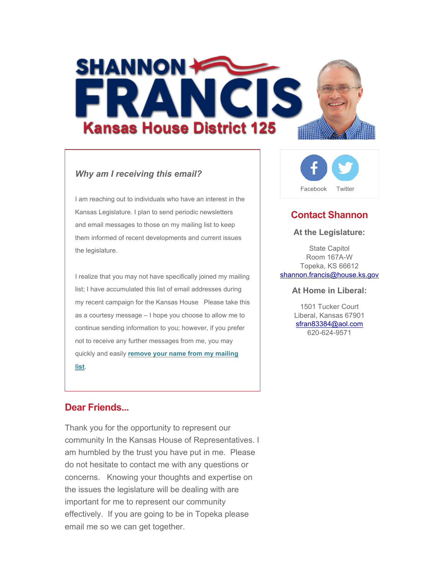

### *Why am I receiving this email?*

I am reaching out to individuals who have an interest in the Kansas Legislature. I plan to send periodic newsletters and email messages to those on my mailing list to keep them informed of recent developments and current issues the legislature.

I realize that you may not have specifically joined my mailing list; I have accumulated this list of email addresses during my recent campaign for the Kansas House Please take this as a courtesy message – I hope you choose to allow me to continue sending information to you; however, if you prefer not to receive any further messages from me, you may quickly and easily **remove your name from my mailing list**.

# **Dear Friends...**

Thank you for the opportunity to represent our community In the Kansas House of Representatives. I am humbled by the trust you have put in me. Please do not hesitate to contact me with any questions or concerns. Knowing your thoughts and expertise on the issues the legislature will be dealing with are important for me to represent our community effectively. If you are going to be in Topeka please email me so we can get together.



# **Contact Shannon**

#### **At the Legislature:**

State Capitol Room 167A-W Topeka, KS 66612 shannon.francis@house.ks.gov

### **At Home in Liberal:**

1501 Tucker Court Liberal, Kansas 67901 sfran83384@aol.com 620-624-9571